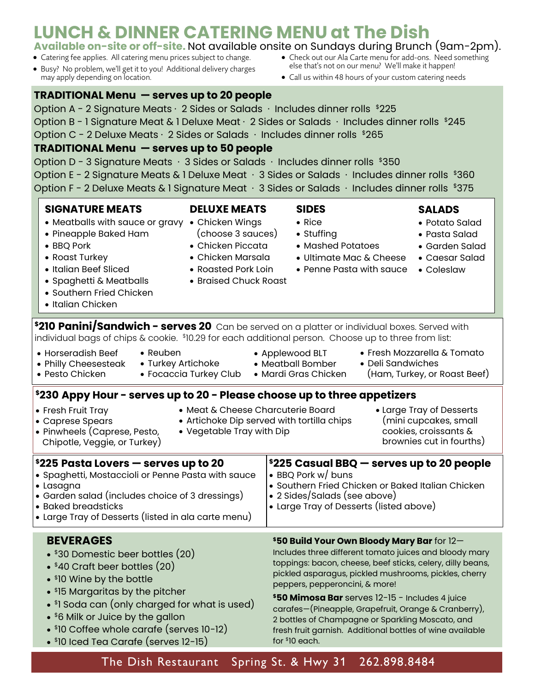#### Option A - 2 Signature Meats  $\cdot$  2 Sides or Salads  $\cdot$  Includes dinner rolls  $$225$ Option B - 1 Signature Meat & 1 Deluxe Meat  $\cdot$  2 Sides or Salads  $\cdot$  Includes dinner rolls  $$245$ Option C - 2 Deluxe Meats  $\cdot$  2 Sides or Salads  $\cdot$  Includes dinner rolls  $$265$ **TRADITIONAL Menu — serves up to 50 people**  Option D - 3 Signature Meats  $\cdot$  3 Sides or Salads  $\cdot$  Includes dinner rolls \$350 Option E - 2 Signature Meats & 1 Deluxe Meat  $\cdot$  3 Sides or Salads  $\cdot$  Includes dinner rolls \$360 Option F - 2 Deluxe Meats & 1 Signature Meat  $\cdot$  3 Sides or Salads  $\cdot$  Includes dinner rolls \$375 **\$225 Casual BBQ — serves up to 20 people** • BBQ Pork w/ buns • Southern Fried Chicken or Baked Italian Chicken • 2 Sides/Salads (see above) • Large Tray of Desserts (listed above) **\$225 Pasta Lovers — serves up to 20**  • Spaghetti, Mostaccioli or Penne Pasta with sauce • Lasagna • Garden salad (includes choice of 3 dressings) • Baked breadsticks • Large Tray of Desserts (listed in ala carte menu) **\$210 Panini/Sandwich - serves 20** Can be served on a platter or individual boxes. Served with individual bags of chips & cookie. \$ 10.29 for each additional person. Choose up to three from list: • Reuben • Turkey Artichoke • Focaccia Turkey Club • Horseradish Beef • Philly Cheesesteak • Pesto Chicken • Fresh Mozzarella & Tomato • Deli Sandwiches (Ham, Turkey, or Roast Beef) • Applewood BLT • Meatball Bomber • Mardi Gras Chicken **\$230 Appy Hour - serves up to 20 - Please choose up to three appetizers** • Fresh Fruit Tray • Caprese Spears • Pinwheels (Caprese, Pesto, Chipotle, Veggie, or Turkey) • Meat & Cheese Charcuterie Board • Artichoke Dip served with tortilla chips • Vegetable Tray with Dip • Large Tray of Desserts (mini cupcakes, small cookies, croissants & brownies cut in fourths) **SIGNATURE MEATS** • Meatballs with sauce or gravy • Chicken Wings • Pineapple Baked Ham • BBQ Pork • Roast Turkey • Italian Beef Sliced • Spaghetti & Meatballs • Southern Fried Chicken • Italian Chicken **DELUXE MEATS** (choose 3 sauces) • Chicken Piccata • Chicken Marsala • Roasted Pork Loin • Braised Chuck Roast **SIDES** • Rice • Stuffing • Mashed Potatoes • Ultimate Mac & Cheese • Penne Pasta with sauce • Coleslaw **SALADS** • Potato Salad • Pasta Salad • Garden Salad • Caesar Salad **BEVERAGES** • \$30 Domestic beer bottles (20) • \$40 Craft beer bottles (20) • \$ 10 Wine by the bottle • \$ 15 Margaritas by the pitcher • \$ 1 Soda can (only charged for what is used) • \$6 Milk or Juice by the gallon **\$50 Build Your Own Bloody Mary Bar** for 12— Includes three different tomato juices and bloody mary toppings: bacon, cheese, beef sticks, celery, dilly beans, pickled asparagus, pickled mushrooms, pickles, cherry peppers, pepperoncini, & more! **\$50 Mimosa Bar** serves 12-15 - Includes 4 juice carafes—(Pineapple, Grapefruit, Orange & Cranberry), 2 bottles of Champagne or Sparkling Moscato, and

• \$ 10 Coffee whole carafe (serves 10-12)

• \$ 10 Iced Tea Carafe (serves 12-15)

The Dish Restaurant Spring St. & Hwy 31 262.898.8484

# **LUNCH & DINNER CATERING MENU at The Dish**

#### • Check out our Ala Carte menu for add-ons. Need something **Available on-site or off-site.** Not available onsite on Sundays during Brunch (9am-2pm).

else that's not on our menu? We'll make it happen! • Call us within 48 hours of your custom catering needs

- Catering fee applies. All catering menu prices subject to change.
- Busy? No problem, we'll get it to you! Additional delivery charges may apply depending on location.

# **TRADITIONAL Menu — serves up to 20 people**

fresh fruit garnish. Additional bottles of wine available for \$ 10 each.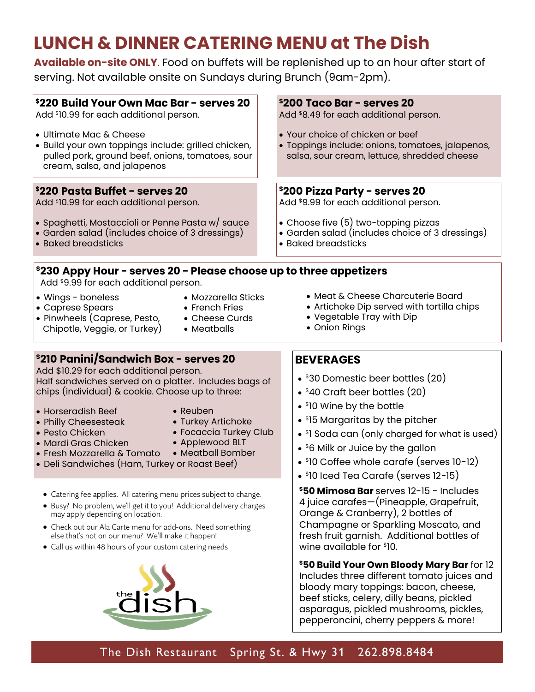# **LUNCH & DINNER CATERING MENU at The Dish**

**Available on-site ONLY**. Food on buffets will be replenished up to an hour after start of serving. Not available onsite on Sundays during Brunch (9am-2pm).

### **\$220 Build Your Own Mac Bar - serves 20**

Add \$ 10.99 for each additional person.

- Ultimate Mac & Cheese
- Build your own toppings include: grilled chicken, pulled pork, ground beef, onions, tomatoes, sour cream, salsa, and jalapenos

### **\$220 Pasta Buffet - serves 20**

Add \$ 10.99 for each additional person.

- Spaghetti, Mostaccioli or Penne Pasta w/ sauce
- Garden salad (includes choice of 3 dressings)
- Baked breadsticks

# **\$230 Appy Hour - serves 20 - Please choose up to three appetizers**

Add \$9.99 for each additional person.

- Wings boneless
- Caprese Spears
- Mozzarella Sticks

• Cheese Curds • Meatballs

- French Fries
- Pinwheels (Caprese, Pesto, Chipotle, Veggie, or Turkey)

**\$210 Panini/Sandwich Box - serves 20**  Add \$10.29 for each additional person. Half sandwiches served on a platter. Includes bags of chips (individual) & cookie. Choose up to three:

- Horseradish Beef
- Philly Cheesesteak
- Pesto Chicken
- Reuben
- Turkey Artichoke
- 
- Focaccia Turkey Club • Applewood BLT
- Mardi Gras Chicken
- Fresh Mozzarella & Tomato Meatball Bomber
- Deli Sandwiches (Ham, Turkey or Roast Beef)
	- Catering fee applies. All catering menu prices subject to change.
	- Busy? No problem, we'll get it to you! Additional delivery charges may apply depending on location.
	- Check out our Ala Carte menu for add-ons. Need something else that's not on our menu? We'll make it happen!
	- Call us within 48 hours of your custom catering needs



### **\$200 Taco Bar - serves 20**

Add \$8.49 for each additional person.

- Your choice of chicken or beef
- Toppings include: onions, tomatoes, jalapenos, salsa, sour cream, lettuce, shredded cheese

## **\$200 Pizza Party - serves 20**

Add \$9.99 for each additional person.

- Choose five (5) two-topping pizzas
- Garden salad (includes choice of 3 dressings)
- Baked breadsticks
	- Meat & Cheese Charcuterie Board
	- Artichoke Dip served with tortilla chips
	- Vegetable Tray with Dip
	- Onion Rings

# **BEVERAGES**

- \$30 Domestic beer bottles (20)
- \$40 Craft beer bottles (20)
- \$ 10 Wine by the bottle
- \$ 15 Margaritas by the pitcher
- \$ 1 Soda can (only charged for what is used)
- \$6 Milk or Juice by the gallon
- \$ 10 Coffee whole carafe (serves 10-12)
- \$ 10 Iced Tea Carafe (serves 12-15)

**\$50 Mimosa Bar** serves 12-15 - Includes 4 juice carafes—(Pineapple, Grapefruit, Orange & Cranberry), 2 bottles of Champagne or Sparkling Moscato, and fresh fruit garnish. Additional bottles of wine available for \$ 10.

**\$50 Build Your Own Bloody Mary Bar** for 12 Includes three different tomato juices and bloody mary toppings: bacon, cheese, beef sticks, celery, dilly beans, pickled asparagus, pickled mushrooms, pickles, pepperoncini, cherry peppers & more!

The Dish Restaurant Spring St. & Hwy 31 262.898.8484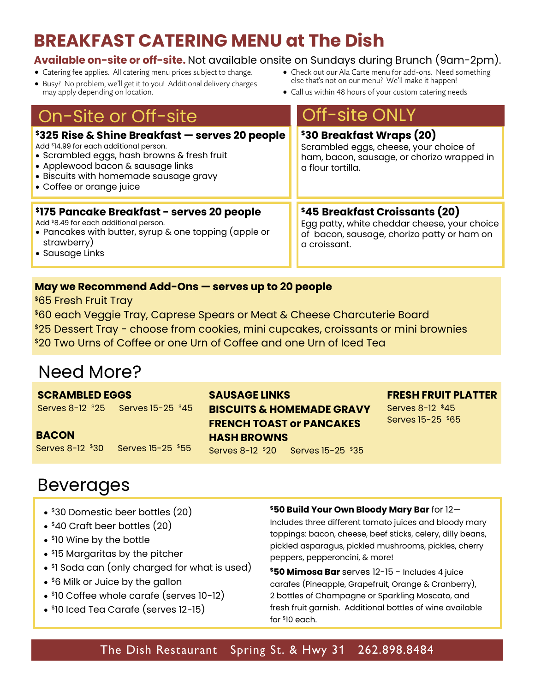# **BREAKFAST CATERING MENU at The Dish**

# **Available on-site or off-site.** Not available onsite on Sundays during Brunch (9am-2pm).

- Catering fee applies. All catering menu prices subject to change.
- Busy? No problem, we'll get it to you! Additional delivery charges may apply depending on location.
- Check out our Ala Carte menu for add-ons. Need something else that's not on our menu? We'll make it happen!
- Call us within 48 hours of your custom catering needs

# On-Site or Off-site Off-site ONLY

| \$325 Rise & Shine Breakfast — serves 20 people<br>Add \$14.99 for each additional person.<br>• Scrambled eggs, hash browns & fresh fruit<br>• Applewood bacon & sausage links<br>• Biscuits with homemade sausage gravy<br>• Coffee or orange juice | \$30 Breakfast Wraps (20)<br>Scrambled eggs, cheese, your choice of<br>ham, bacon, sausage, or chorizo wrapped in<br>a flour tortilla.       |
|------------------------------------------------------------------------------------------------------------------------------------------------------------------------------------------------------------------------------------------------------|----------------------------------------------------------------------------------------------------------------------------------------------|
| \$175 Pancake Breakfast - serves 20 people<br>Add \$8.49 for each additional person.<br>• Pancakes with butter, syrup & one topping (apple or<br>strawberry)<br>• Sausage Links                                                                      | \$45 Breakfast Croissants (20)<br>Egg patty, white cheddar cheese, your choice<br>of bacon, sausage, chorizo patty or ham on<br>a croissant. |

## **May we Recommend Add-Ons — serves up to 20 people**

\$65 Fresh Fruit Tray

- \$60 each Veggie Tray, Caprese Spears or Meat & Cheese Charcuterie Board
- \$25 Dessert Tray choose from cookies, mini cupcakes, croissants or mini brownies
- \$20 Two Urns of Coffee or one Urn of Coffee and one Urn of Iced Tea

# Need More?

**SCRAMBLED EGGS** 

Serves 8-12 \$25 Serves 15-25 \$45

**BACON** Serves 8-12 \$30 Serves 15-25 \$55

# **SAUSAGE LINKS BISCUITS & HOMEMADE GRAVY FRENCH TOAST or PANCAKES HASH BROWNS** Serves 8-12 \$20 Serves 15-25 \$35

### **FRESH FRUIT PLATTER**

Serves 8-12 \$45 Serves 15-25 \$65

# Beverages

- \$30 Domestic beer bottles (20)
- \$40 Craft beer bottles (20)
- \$ 10 Wine by the bottle
- \$ 15 Margaritas by the pitcher
- \$ 1 Soda can (only charged for what is used)
- \$6 Milk or Juice by the gallon
- \$ 10 Coffee whole carafe (serves 10-12)
- \$ 10 Iced Tea Carafe (serves 12-15)

### **\$50 Build Your Own Bloody Mary Bar** for 12—

Includes three different tomato juices and bloody mary toppings: bacon, cheese, beef sticks, celery, dilly beans, pickled asparagus, pickled mushrooms, pickles, cherry peppers, pepperoncini, & more!

**\$50 Mimosa Bar** serves 12-15 - Includes 4 juice carafes (Pineapple, Grapefruit, Orange & Cranberry), 2 bottles of Champagne or Sparkling Moscato, and fresh fruit garnish. Additional bottles of wine available for \$ 10 each.

# The Dish Restaurant Spring St. & Hwy 31 262.898.8484